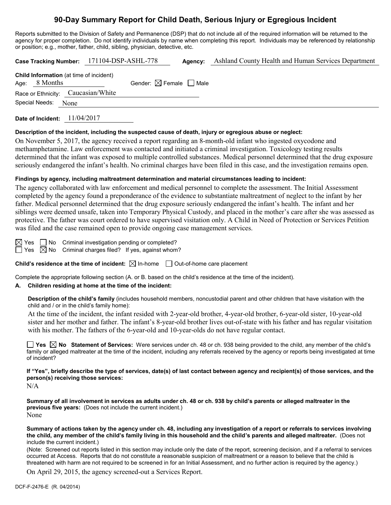# **90-Day Summary Report for Child Death, Serious Injury or Egregious Incident**

Reports submitted to the Division of Safety and Permanence (DSP) that do not include all of the required information will be returned to the agency for proper completion. Do not identify individuals by name when completing this report. Individuals may be referenced by relationship or position; e.g., mother, father, child, sibling, physician, detective, etc.

|                                                                   |  | Case Tracking Number: 171104-DSP-ASHL-778 |                                        | Agency: | Ashland County Health and Human Services Department |  |
|-------------------------------------------------------------------|--|-------------------------------------------|----------------------------------------|---------|-----------------------------------------------------|--|
| <b>Child Information</b> (at time of incident)<br>Age: $8$ Months |  |                                           | Gender: $\boxtimes$ Female $\Box$ Male |         |                                                     |  |
| Race or Ethnicity: Caucasian/White                                |  |                                           |                                        |         |                                                     |  |
| Special Needs: None                                               |  |                                           |                                        |         |                                                     |  |
|                                                                   |  |                                           |                                        |         |                                                     |  |

**Date of Incident:** 11/04/2017

#### **Description of the incident, including the suspected cause of death, injury or egregious abuse or neglect:**

On November 5, 2017, the agency received a report regarding an 8-month-old infant who ingested oxycodone and methamphetamine. Law enforcement was contacted and initiated a criminal investigation. Toxicology testing results determined that the infant was exposed to multiple controlled substances. Medical personnel determined that the drug exposure seriously endangered the infant's health. No criminal charges have been filed in this case, and the investigation remains open.

#### **Findings by agency, including maltreatment determination and material circumstances leading to incident:**

The agency collaborated with law enforcement and medical personnel to complete the assessment. The Initial Assessment completed by the agency found a preponderance of the evidence to substantiate maltreatment of neglect to the infant by her father. Medical personnel determined that the drug exposure seriously endangered the infant's health. The infant and her siblings were deemed unsafe, taken into Temporary Physical Custody, and placed in the mother's care after she was assessed as protective. The father was court ordered to have supervised visitation only. A Child in Need of Protection or Services Petition was filed and the case remained open to provide ongoing case management services.

 $\boxtimes$  Yes  $\Box$  No Criminal investigation pending or completed?

 $\Box$  Yes  $\boxtimes$  No Criminal charges filed? If yes, against whom?

**Child's residence at the time of incident:**  $\boxtimes$  In-home  $\Box$  Out-of-home care placement

Complete the appropriate following section (A. or B. based on the child's residence at the time of the incident).

#### **A. Children residing at home at the time of the incident:**

**Description of the child's family** (includes household members, noncustodial parent and other children that have visitation with the child and / or in the child's family home):

At the time of the incident, the infant resided with 2-year-old brother, 4-year-old brother, 6-year-old sister, 10-year-old sister and her mother and father. The infant's 8-year-old brother lives out-of-state with his father and has regular visitation with his mother. The fathers of the 6-year-old and 10-year-olds do not have regular contact.

**Yes No Statement of Services:** Were services under ch. 48 or ch. 938 being provided to the child, any member of the child's family or alleged maltreater at the time of the incident, including any referrals received by the agency or reports being investigated at time of incident?

**If "Yes", briefly describe the type of services, date(s) of last contact between agency and recipient(s) of those services, and the person(s) receiving those services:**

N/A

**Summary of all involvement in services as adults under ch. 48 or ch. 938 by child's parents or alleged maltreater in the previous five years:** (Does not include the current incident.) None

**Summary of actions taken by the agency under ch. 48, including any investigation of a report or referrals to services involving the child, any member of the child's family living in this household and the child's parents and alleged maltreater.** (Does not include the current incident.)

(Note: Screened out reports listed in this section may include only the date of the report, screening decision, and if a referral to services occurred at Access. Reports that do not constitute a reasonable suspicion of maltreatment or a reason to believe that the child is threatened with harm are not required to be screened in for an Initial Assessment, and no further action is required by the agency.)

On April 29, 2015, the agency screened-out a Services Report.